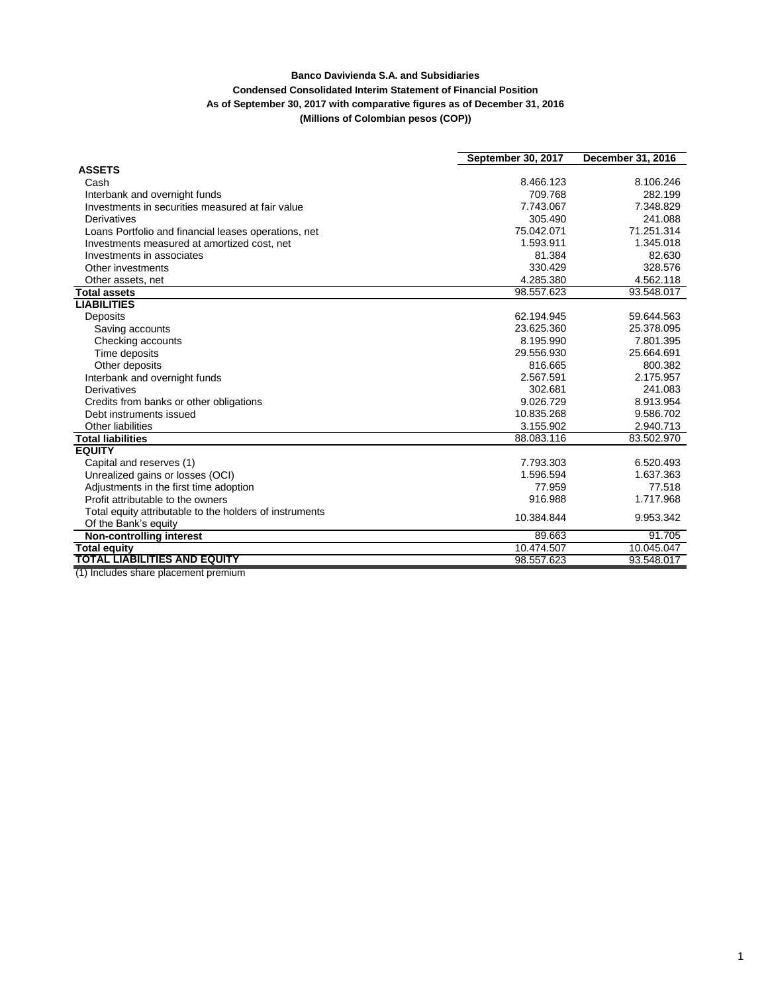## **Banco Davivienda S.A. and Subsidiaries Condensed Consolidated Interim Statement of Financial Position As of September 30, 2017 with comparative figures as of December 31, 2016**

**(Millions of Colombian pesos (COP))**

|                                                         | September 30, 2017 | December 31, 2016 |  |
|---------------------------------------------------------|--------------------|-------------------|--|
| <b>ASSETS</b>                                           |                    |                   |  |
| Cash                                                    | 8.466.123          | 8.106.246         |  |
| Interbank and overnight funds                           | 709.768            | 282.199           |  |
| Investments in securities measured at fair value        | 7.743.067          | 7.348.829         |  |
| Derivatives                                             | 305.490            | 241.088           |  |
| Loans Portfolio and financial leases operations, net    | 75.042.071         | 71.251.314        |  |
| Investments measured at amortized cost, net             | 1.593.911          | 1.345.018         |  |
| Investments in associates                               | 81.384             | 82.630            |  |
| Other investments                                       | 330.429            | 328.576           |  |
| Other assets, net                                       | 4.285.380          | 4.562.118         |  |
| <b>Total assets</b>                                     | 98.557.623         | 93.548.017        |  |
| <b>LIABILITIES</b>                                      |                    |                   |  |
| Deposits                                                | 62.194.945         | 59.644.563        |  |
| Saving accounts                                         | 23.625.360         | 25.378.095        |  |
| Checking accounts                                       | 8.195.990          | 7.801.395         |  |
| Time deposits                                           | 29.556.930         | 25.664.691        |  |
| Other deposits                                          | 816.665            | 800.382           |  |
| Interbank and overnight funds                           | 2.567.591          | 2.175.957         |  |
| Derivatives                                             | 302.681            | 241.083           |  |
| Credits from banks or other obligations                 | 9.026.729          | 8.913.954         |  |
| Debt instruments issued                                 | 10.835.268         | 9.586.702         |  |
| Other liabilities                                       | 3.155.902          | 2.940.713         |  |
| <b>Total liabilities</b>                                | 88.083.116         | 83.502.970        |  |
| <b>EQUITY</b>                                           |                    |                   |  |
| Capital and reserves (1)                                | 7.793.303          | 6.520.493         |  |
| Unrealized gains or losses (OCI)                        | 1.596.594          | 1.637.363         |  |
| Adjustments in the first time adoption                  | 77.959             | 77.518            |  |
| Profit attributable to the owners                       | 916.988            | 1.717.968         |  |
| Total equity attributable to the holders of instruments | 10.384.844         | 9.953.342         |  |
| Of the Bank's equity                                    |                    |                   |  |
| <b>Non-controlling interest</b>                         | 89.663             | 91.705            |  |
| <b>Total equity</b>                                     | 10.474.507         | 10.045.047        |  |
| <b>TOTAL LIABILITIES AND EQUITY</b>                     | 98.557.623         | 93.548.017        |  |

(1) Includes share placement premium